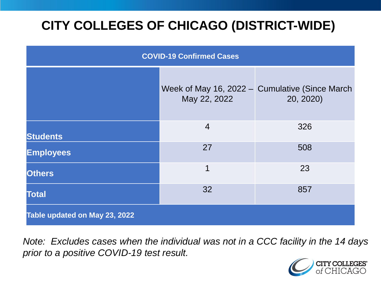# **CITY COLLEGES OF CHICAGO (DISTRICT-WIDE)**

| <b>COVID-19 Confirmed Cases</b> |                |                                                             |
|---------------------------------|----------------|-------------------------------------------------------------|
|                                 | May 22, 2022   | Week of May 16, 2022 - Cumulative (Since March<br>20, 2020) |
| <b>Students</b>                 | $\overline{4}$ | 326                                                         |
| <b>Employees</b>                | 27             | 508                                                         |
| <b>Others</b>                   | 1              | 23                                                          |
| <b>Total</b>                    | 32             | 857                                                         |
| Table updated on May 23, 2022   |                |                                                             |

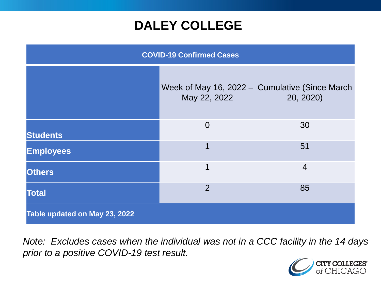### **DALEY COLLEGE**

| <b>COVID-19 Confirmed Cases</b> |                |                                                             |
|---------------------------------|----------------|-------------------------------------------------------------|
|                                 | May 22, 2022   | Week of May 16, 2022 – Cumulative (Since March<br>20, 2020) |
| <b>Students</b>                 | $\overline{0}$ | 30                                                          |
| <b>Employees</b>                | 1              | 51                                                          |
| <b>Others</b>                   | 1              | $\overline{4}$                                              |
| <b>Total</b>                    | $\overline{2}$ | 85                                                          |
| Table updated on May 23, 2022   |                |                                                             |

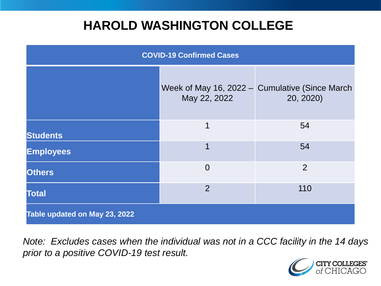### **HAROLD WASHINGTON COLLEGE**

| <b>COVID-19 Confirmed Cases</b> |                |                                                             |
|---------------------------------|----------------|-------------------------------------------------------------|
|                                 | May 22, 2022   | Week of May 16, 2022 – Cumulative (Since March<br>20, 2020) |
| <b>Students</b>                 | 1              | 54                                                          |
| <b>Employees</b>                | 1              | 54                                                          |
| <b>Others</b>                   | $\overline{0}$ | 2                                                           |
| <b>Total</b>                    | $\overline{2}$ | 110                                                         |
| Table updated on May 23, 2022   |                |                                                             |

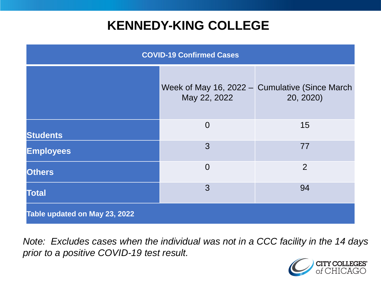### **KENNEDY-KING COLLEGE**

| <b>COVID-19 Confirmed Cases</b> |                |                                                             |
|---------------------------------|----------------|-------------------------------------------------------------|
|                                 | May 22, 2022   | Week of May 16, 2022 – Cumulative (Since March<br>20, 2020) |
| <b>Students</b>                 | $\overline{0}$ | 15                                                          |
| <b>Employees</b>                | 3              | 77                                                          |
| <b>Others</b>                   | $\overline{0}$ | $\overline{2}$                                              |
| <b>Total</b>                    | 3              | 94                                                          |
| Table updated on May 23, 2022   |                |                                                             |

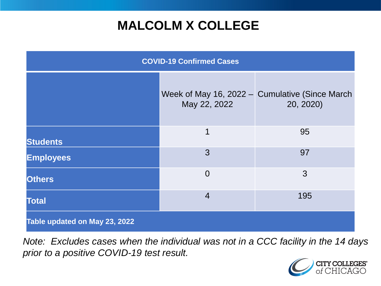## **MALCOLM X COLLEGE**

| <b>COVID-19 Confirmed Cases</b> |                |                                                               |
|---------------------------------|----------------|---------------------------------------------------------------|
|                                 | May 22, 2022   | Week of May 16, 2022 $-$ Cumulative (Since March<br>20, 2020) |
| <b>Students</b>                 | $\mathbf 1$    | 95                                                            |
| <b>Employees</b>                | 3              | 97                                                            |
| <b>Others</b>                   | $\overline{0}$ | 3                                                             |
| <b>Total</b>                    | $\overline{4}$ | 195                                                           |
| Table updated on May 23, 2022   |                |                                                               |

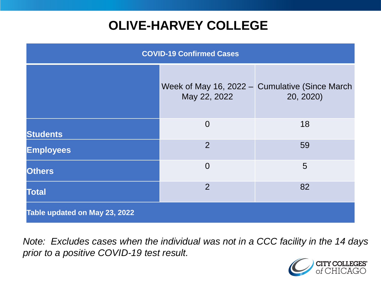# **OLIVE-HARVEY COLLEGE**

| <b>COVID-19 Confirmed Cases</b> |                |                                                             |
|---------------------------------|----------------|-------------------------------------------------------------|
|                                 | May 22, 2022   | Week of May 16, 2022 - Cumulative (Since March<br>20, 2020) |
| <b>Students</b>                 | $\overline{0}$ | 18                                                          |
| <b>Employees</b>                | 2              | 59                                                          |
| <b>Others</b>                   | $\overline{0}$ | 5                                                           |
| <b>Total</b>                    | $\overline{2}$ | 82                                                          |
| Table updated on May 23, 2022   |                |                                                             |

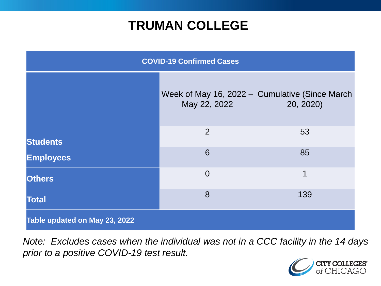### **TRUMAN COLLEGE**

| <b>COVID-19 Confirmed Cases</b> |                |                                                             |
|---------------------------------|----------------|-------------------------------------------------------------|
|                                 | May 22, 2022   | Week of May 16, 2022 – Cumulative (Since March<br>20, 2020) |
| <b>Students</b>                 | $\overline{2}$ | 53                                                          |
| <b>Employees</b>                | 6              | 85                                                          |
| <b>Others</b>                   | $\overline{0}$ | 1                                                           |
| <b>Total</b>                    | 8              | 139                                                         |
| Table updated on May 23, 2022   |                |                                                             |

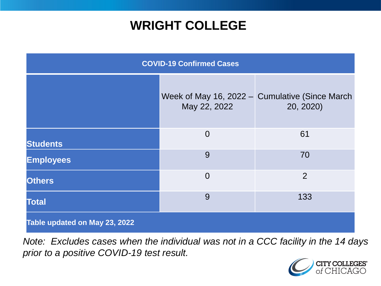### **WRIGHT COLLEGE**

| <b>COVID-19 Confirmed Cases</b> |                |                                                             |
|---------------------------------|----------------|-------------------------------------------------------------|
|                                 | May 22, 2022   | Week of May 16, 2022 - Cumulative (Since March<br>20, 2020) |
| <b>Students</b>                 | $\overline{0}$ | 61                                                          |
| <b>Employees</b>                | 9              | 70                                                          |
| <b>Others</b>                   | $\overline{0}$ | $\overline{2}$                                              |
| <b>Total</b>                    | 9              | 133                                                         |
| Table updated on May 23, 2022   |                |                                                             |

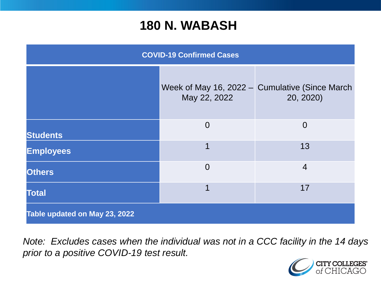#### **180 N. WABASH**

| <b>COVID-19 Confirmed Cases</b> |                |                                                             |
|---------------------------------|----------------|-------------------------------------------------------------|
|                                 | May 22, 2022   | Week of May 16, 2022 - Cumulative (Since March<br>20, 2020) |
| <b>Students</b>                 | $\overline{0}$ | $\overline{0}$                                              |
| <b>Employees</b>                | 1              | 13                                                          |
| <b>Others</b>                   | $\overline{0}$ | $\overline{4}$                                              |
| <b>Total</b>                    | 1              | 17                                                          |
| Table updated on May 23, 2022   |                |                                                             |